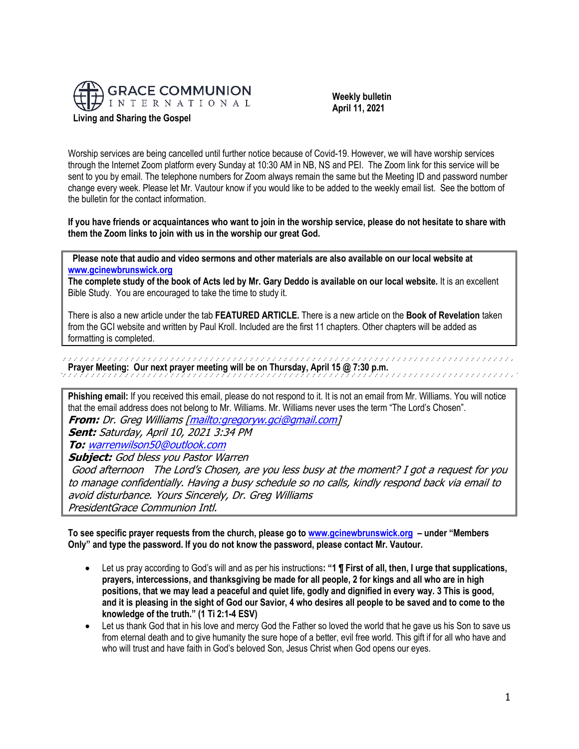

 **Weekly bulletin April 11, 2021**

Worship services are being cancelled until further notice because of Covid-19. However, we will have worship services through the Internet Zoom platform every Sunday at 10:30 AM in NB, NS and PEI. The Zoom link for this service will be sent to you by email. The telephone numbers for Zoom always remain the same but the Meeting ID and password number change every week. Please let Mr. Vautour know if you would like to be added to the weekly email list. See the bottom of the bulletin for the contact information.

**If you have friends or acquaintances who want to join in the worship service, please do not hesitate to share with them the Zoom links to join with us in the worship our great God.**

 **Please note that audio and video sermons and other materials are also available on our local website at [www.gcinewbrunswick.org](http://www.gcinewbrunswick.org/)** 

**The complete study of the book of Acts led by Mr. Gary Deddo is available on our local website.** It is an excellent Bible Study. You are encouraged to take the time to study it.

There is also a new article under the tab **FEATURED ARTICLE.** There is a new article on the **Book of Revelation** taken from the GCI website and written by Paul Kroll. Included are the first 11 chapters. Other chapters will be added as formatting is completed.

**Prayer Meeting: Our next prayer meeting will be on Thursday, April 15 @ 7:30 p.m.** 

**Phishing email:** If you received this email, please do not respond to it. It is not an email from Mr. Williams. You will notice that the email address does not belong to Mr. Williams. Mr. Williams never uses the term "The Lord's Chosen". **From:** Dr. Greg Williams [\[mailto:gregoryw.gci@gmail.com\]](mailto:gregoryw.gci@gmail.com)

**Sent:** Saturday, April 10, 2021 3:34 PM

**To:** [warrenwilson50@outlook.com](mailto:warrenwilson50@outlook.com)

**Subject:** God bless you Pastor Warren

Good afternoon The Lord's Chosen, are you less busy at the moment? I got a request for you to manage confidentially. Having a busy schedule so no calls, kindly respond back via email to avoid disturbance. Yours Sincerely, Dr. Greg Williams PresidentGrace Communion Intl.

**To see specific prayer requests from the church, please go to [www.gcinewbrunswick.org](http://www.gcinewbrunswick.org/) – under "Members Only" and type the password. If you do not know the password, please contact Mr. Vautour.**

- Let us pray according to God's will and as per his instructions**: "1 ¶ First of all, then, I urge that supplications, prayers, intercessions, and thanksgiving be made for all people, 2 for kings and all who are in high positions, that we may lead a peaceful and quiet life, godly and dignified in every way. 3 This is good, and it is pleasing in the sight of God our Savior, 4 who desires all people to be saved and to come to the knowledge of the truth." (1 Ti 2:1-4 ESV)**
- Let us thank God that in his love and mercy God the Father so loved the world that he gave us his Son to save us from eternal death and to give humanity the sure hope of a better, evil free world. This gift if for all who have and who will trust and have faith in God's beloved Son, Jesus Christ when God opens our eyes.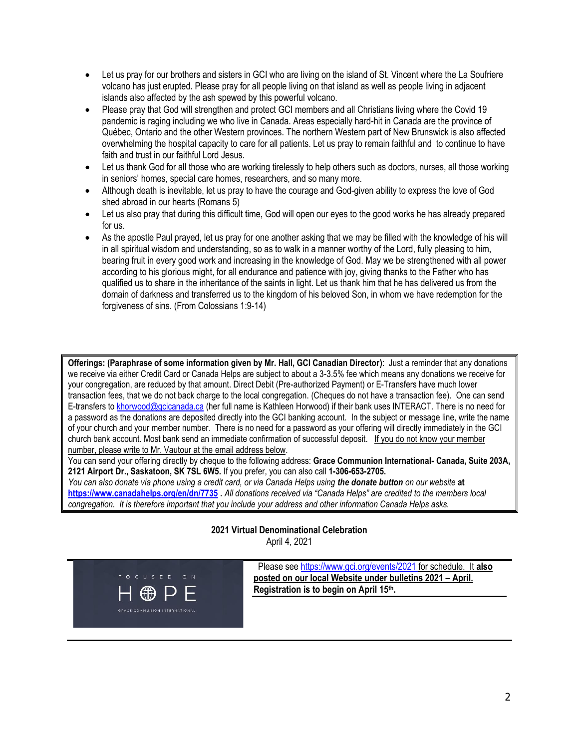- Let us pray for our brothers and sisters in GCI who are living on the island of St. Vincent where the La Soufriere volcano has just erupted. Please pray for all people living on that island as well as people living in adjacent islands also affected by the ash spewed by this powerful volcano.
- Please pray that God will strengthen and protect GCI members and all Christians living where the Covid 19 pandemic is raging including we who live in Canada. Areas especially hard-hit in Canada are the province of Québec, Ontario and the other Western provinces. The northern Western part of New Brunswick is also affected overwhelming the hospital capacity to care for all patients. Let us pray to remain faithful and to continue to have faith and trust in our faithful Lord Jesus.
- Let us thank God for all those who are working tirelessly to help others such as doctors, nurses, all those working in seniors' homes, special care homes, researchers, and so many more.
- Although death is inevitable, let us pray to have the courage and God-given ability to express the love of God shed abroad in our hearts (Romans 5)
- Let us also pray that during this difficult time, God will open our eyes to the good works he has already prepared for us.
- As the apostle Paul prayed, let us pray for one another asking that we may be filled with the knowledge of his will in all spiritual wisdom and understanding, so as to walk in a manner worthy of the Lord, fully pleasing to him, bearing fruit in every good work and increasing in the knowledge of God. May we be strengthened with all power according to his glorious might, for all endurance and patience with joy, giving thanks to the Father who has qualified us to share in the inheritance of the saints in light. Let us thank him that he has delivered us from the domain of darkness and transferred us to the kingdom of his beloved Son, in whom we have redemption for the forgiveness of sins. (From Colossians 1:9-14)

**Offerings: (Paraphrase of some information given by Mr. Hall, GCI Canadian Director)**: Just a reminder that any donations we receive via either Credit Card or Canada Helps are subject to about a 3-3.5% fee which means any donations we receive for your congregation, are reduced by that amount. Direct Debit (Pre-authorized Payment) or E-Transfers have much lower transaction fees, that we do not back charge to the local congregation. (Cheques do not have a transaction fee). One can send E-transfers t[o khorwood@gcicanada.ca](mailto:khorwood@gcicanada.ca) (her full name is Kathleen Horwood) if their bank uses INTERACT. There is no need for a password as the donations are deposited directly into the GCI banking account. In the subject or message line, write the name of your church and your member number. There is no need for a password as your offering will directly immediately in the GCI church bank account. Most bank send an immediate confirmation of successful deposit. If you do not know your member number, please write to Mr. Vautour at the email address below.

You can send your offering directly by cheque to the following address: **Grace Communion International- Canada, Suite 203A, 2121 Airport Dr., Saskatoon, SK 7SL 6W5.** If you prefer, you can also call **1-306-653-2705.** 

*You can also donate via phone using a credit card, or via Canada Helps using the donate button on our website* **at <https://www.canadahelps.org/en/dn/7735> .** *All donations received via "Canada Helps" are credited to the members local congregation. It is therefore important that you include your address and other information Canada Helps asks.*

### **2021 Virtual Denominational Celebration** April 4, 2021



Please see [https://www.gci.org/events/2021](https://www.gci.org/events/2021/) for schedule. It **also posted on our local Website under bulletins 2021 – April. Registration is to begin on April 15 th.**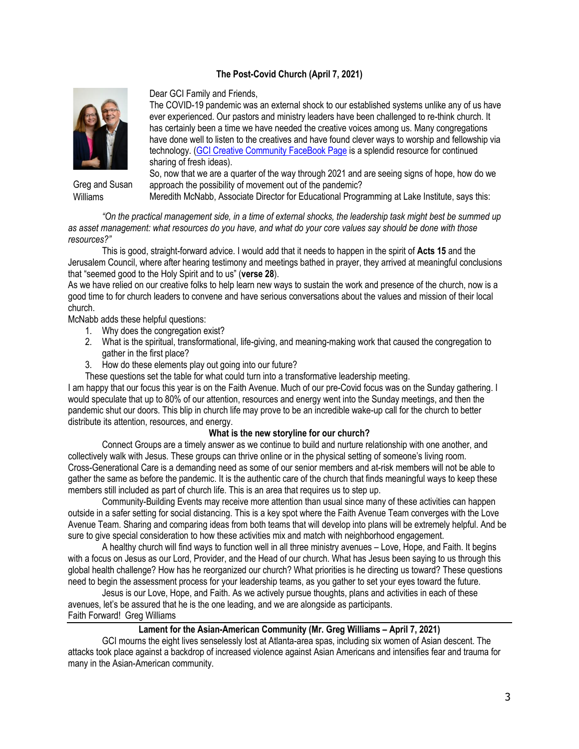## **The Post-Covid Church (April 7, 2021)**



Greg and Susan Williams

Dear GCI Family and Friends,

The COVID-19 pandemic was an external shock to our established systems unlike any of us have ever experienced. Our pastors and ministry leaders have been challenged to re-think church. It has certainly been a time we have needed the creative voices among us. Many congregations have done well to listen to the creatives and have found clever ways to worship and fellowship via technology. [\(GCI Creative Community FaceBook Page](https://www.facebook.com/groups/1782912925166744/) is a splendid resource for continued sharing of fresh ideas).

So, now that we are a quarter of the way through 2021 and are seeing signs of hope, how do we approach the possibility of movement out of the pandemic?

Meredith McNabb, Associate Director for Educational Programming at Lake Institute, says this:

*"On the practical management side, in a time of external shocks, the leadership task might best be summed up as asset management: what resources do you have, and what do your core values say should be done with those resources?"*

This is good, straight-forward advice. I would add that it needs to happen in the spirit of **Acts 15** and the Jerusalem Council, where after hearing testimony and meetings bathed in prayer, they arrived at meaningful conclusions that "seemed good to the Holy Spirit and to us" (**verse 28**).

As we have relied on our creative folks to help learn new ways to sustain the work and presence of the church, now is a good time to for church leaders to convene and have serious conversations about the values and mission of their local church.

McNabb adds these helpful questions:

- 1. Why does the congregation exist?
- 2. What is the spiritual, transformational, life-giving, and meaning-making work that caused the congregation to gather in the first place?
- 3. How do these elements play out going into our future?
- These questions set the table for what could turn into a transformative leadership meeting.

I am happy that our focus this year is on the Faith Avenue. Much of our pre-Covid focus was on the Sunday gathering. I would speculate that up to 80% of our attention, resources and energy went into the Sunday meetings, and then the pandemic shut our doors. This blip in church life may prove to be an incredible wake-up call for the church to better distribute its attention, resources, and energy.

#### **What is the new storyline for our church?**

Connect Groups are a timely answer as we continue to build and nurture relationship with one another, and collectively walk with Jesus. These groups can thrive online or in the physical setting of someone's living room. Cross-Generational Care is a demanding need as some of our senior members and at-risk members will not be able to gather the same as before the pandemic. It is the authentic care of the church that finds meaningful ways to keep these members still included as part of church life. This is an area that requires us to step up.

Community-Building Events may receive more attention than usual since many of these activities can happen outside in a safer setting for social distancing. This is a key spot where the Faith Avenue Team converges with the Love Avenue Team. Sharing and comparing ideas from both teams that will develop into plans will be extremely helpful. And be sure to give special consideration to how these activities mix and match with neighborhood engagement.

A healthy church will find ways to function well in all three ministry avenues – Love, Hope, and Faith. It begins with a focus on Jesus as our Lord, Provider, and the Head of our church. What has Jesus been saying to us through this global health challenge? How has he reorganized our church? What priorities is he directing us toward? These questions need to begin the assessment process for your leadership teams, as you gather to set your eyes toward the future.

Jesus is our Love, Hope, and Faith. As we actively pursue thoughts, plans and activities in each of these avenues, let's be assured that he is the one leading, and we are alongside as participants. Faith Forward! Greg Williams

## **Lament for the Asian-American Community (Mr. Greg Williams – April 7, 2021)**

GCI mourns the eight lives senselessly lost at Atlanta-area spas, including six women of Asian descent. The attacks took place against a backdrop of increased violence against Asian Americans and intensifies fear and trauma for many in the Asian-American community.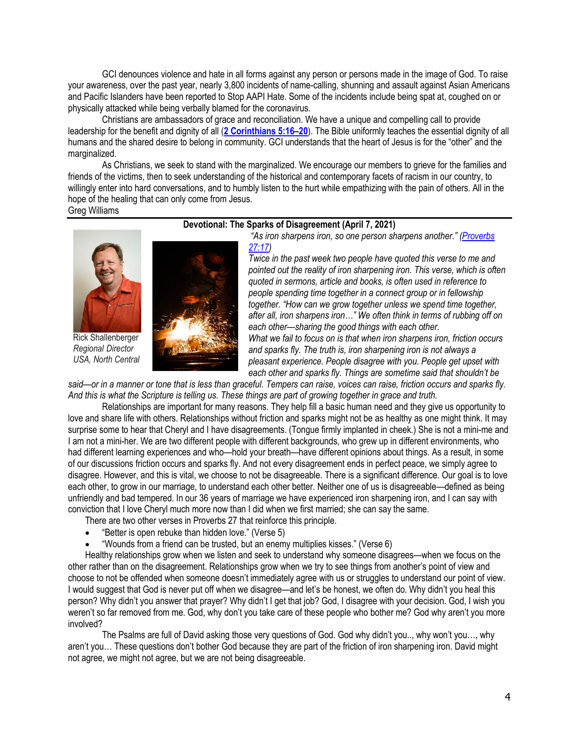GCI denounces violence and hate in all forms against any person or persons made in the image of God. To raise your awareness, over the past year, nearly 3,800 incidents of name-calling, shunning and assault against Asian Americans and Pacific Islanders have been reported to Stop AAPI Hate. Some of the incidents include being spat at, coughed on or physically attacked while being verbally blamed for the coronavirus.

Christians are ambassadors of grace and reconciliation. We have a unique and compelling call to provide leadership for the benefit and dignity of all (**[2 Corinthians 5:16](https://biblia.com/bible/niv/2%20Cor%205.16%E2%80%9320)–20**). The Bible uniformly teaches the essential dignity of all humans and the shared desire to belong in community. GCI understands that the heart of Jesus is for the "other" and the marginalized.

As Christians, we seek to stand with the marginalized. We encourage our members to grieve for the families and friends of the victims, then to seek understanding of the historical and contemporary facets of racism in our country, to willingly enter into hard conversations, and to humbly listen to the hurt while empathizing with the pain of others. All in the hope of the healing that can only come from Jesus. Greg Williams

# **Devotional: The Sparks of Disagreement (April 7, 2021)**



Rick Shallenberger *Regional Director USA, North Central*



*"As iron sharpens iron, so one person sharpens another." ([Proverbs](https://biblia.com/bible/niv/Prov%2027.17)  [27:17\)](https://biblia.com/bible/niv/Prov%2027.17)*

*Twice in the past week two people have quoted this verse to me and pointed out the reality of iron sharpening iron. This verse, which is often quoted in sermons, article and books, is often used in reference to people spending time together in a connect group or in fellowship together. "How can we grow together unless we spend time together, after all, iron sharpens iron…" We often think in terms of rubbing off on each other—sharing the good things with each other. What we fail to focus on is that when iron sharpens iron, friction occurs and sparks fly. The truth is, iron sharpening iron is not always a pleasant experience. People disagree with you. People get upset with each other and sparks fly. Things are sometime said that shouldn't be* 

*said—or in a manner or tone that is less than graceful. Tempers can raise, voices can raise, friction occurs and sparks fly. And this is what the Scripture is telling us. These things are part of growing together in grace and truth.*

Relationships are important for many reasons. They help fill a basic human need and they give us opportunity to love and share life with others. Relationships without friction and sparks might not be as healthy as one might think. It may surprise some to hear that Cheryl and I have disagreements. (Tongue firmly implanted in cheek.) She is not a mini-me and I am not a mini-her. We are two different people with different backgrounds, who grew up in different environments, who had different learning experiences and who—hold your breath—have different opinions about things. As a result, in some of our discussions friction occurs and sparks fly. And not every disagreement ends in perfect peace, we simply agree to disagree. However, and this is vital, we choose to not be disagreeable. There is a significant difference. Our goal is to love each other, to grow in our marriage, to understand each other better. Neither one of us is disagreeable—defined as being unfriendly and bad tempered. In our 36 years of marriage we have experienced iron sharpening iron, and I can say with conviction that I love Cheryl much more now than I did when we first married; she can say the same.

There are two other verses in Proverbs 27 that reinforce this principle.

- "Better is open rebuke than hidden love." (Verse 5)
- "Wounds from a friend can be trusted, but an enemy multiplies kisses." (Verse 6)

Healthy relationships grow when we listen and seek to understand why someone disagrees—when we focus on the other rather than on the disagreement. Relationships grow when we try to see things from another's point of view and choose to not be offended when someone doesn't immediately agree with us or struggles to understand our point of view. I would suggest that God is never put off when we disagree—and let's be honest, we often do. Why didn't you heal this person? Why didn't you answer that prayer? Why didn't I get that job? God, I disagree with your decision. God, I wish you weren't so far removed from me. God, why don't you take care of these people who bother me? God why aren't you more involved?

The Psalms are full of David asking those very questions of God. God why didn't you.., why won't you…, why aren't you… These questions don't bother God because they are part of the friction of iron sharpening iron. David might not agree, we might not agree, but we are not being disagreeable.